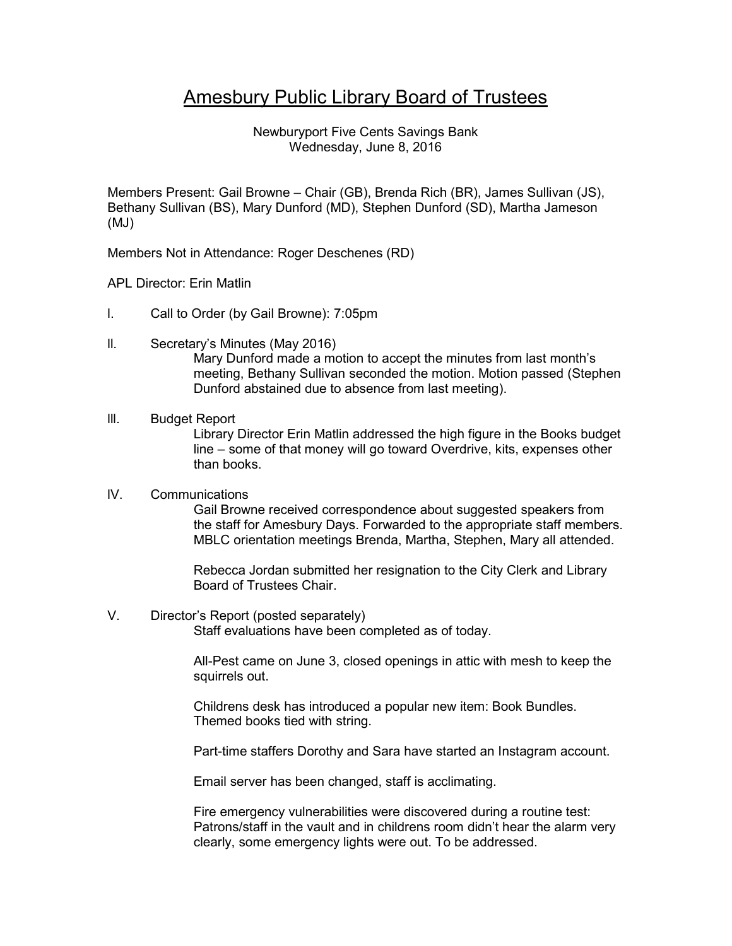# Amesbury Public Library Board of Trustees

Newburyport Five Cents Savings Bank Wednesday, June 8, 2016

Members Present: Gail Browne – Chair (GB), Brenda Rich (BR), James Sullivan (JS), Bethany Sullivan (BS), Mary Dunford (MD), Stephen Dunford (SD), Martha Jameson (MJ)

Members Not in Attendance: Roger Deschenes (RD)

APL Director: Erin Matlin

- l. Call to Order (by Gail Browne): 7:05pm
- ll. Secretary's Minutes (May 2016) Mary Dunford made a motion to accept the minutes from last month's meeting, Bethany Sullivan seconded the motion. Motion passed (Stephen Dunford abstained due to absence from last meeting).

# lll. Budget Report

Library Director Erin Matlin addressed the high figure in the Books budget line – some of that money will go toward Overdrive, kits, expenses other than books.

# lV. Communications

Gail Browne received correspondence about suggested speakers from the staff for Amesbury Days. Forwarded to the appropriate staff members. MBLC orientation meetings Brenda, Martha, Stephen, Mary all attended.

Rebecca Jordan submitted her resignation to the City Clerk and Library Board of Trustees Chair.

### V. Director's Report (posted separately)

Staff evaluations have been completed as of today.

All-Pest came on June 3, closed openings in attic with mesh to keep the squirrels out.

Childrens desk has introduced a popular new item: Book Bundles. Themed books tied with string.

Part-time staffers Dorothy and Sara have started an Instagram account.

Email server has been changed, staff is acclimating.

Fire emergency vulnerabilities were discovered during a routine test: Patrons/staff in the vault and in childrens room didn't hear the alarm very clearly, some emergency lights were out. To be addressed.